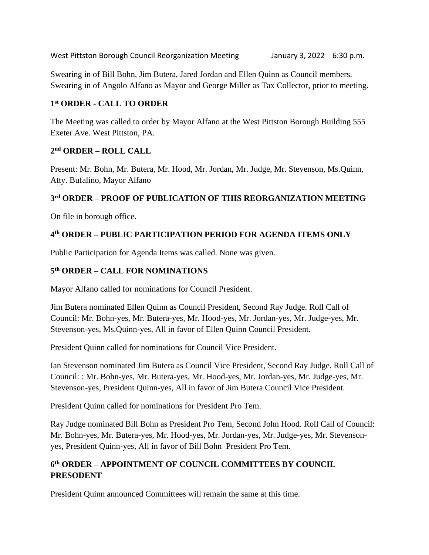West Pittston Borough Council Reorganization Meeting January 3, 2022 6:30 p.m.

Swearing in of Bill Bohn, Jim Butera, Jared Jordan and Ellen Quinn as Council members. Swearing in of Angolo Alfano as Mayor and George Miller as Tax Collector, prior to meeting.

## **1 st ORDER - CALL TO ORDER**

The Meeting was called to order by Mayor Alfano at the West Pittston Borough Building 555 Exeter Ave. West Pittston, PA.

### **2 nd ORDER – ROLL CALL**

Present: Mr. Bohn, Mr. Butera, Mr. Hood, Mr. Jordan, Mr. Judge, Mr. Stevenson, Ms.Quinn, Atty. Bufalino, Mayor Alfano

## **3 rd ORDER – PROOF OF PUBLICATION OF THIS REORGANIZATION MEETING**

On file in borough office.

# **4 th ORDER – PUBLIC PARTICIPATION PERIOD FOR AGENDA ITEMS ONLY**

Public Participation for Agenda Items was called. None was given.

## **5 th ORDER – CALL FOR NOMINATIONS**

Mayor Alfano called for nominations for Council President.

Jim Butera nominated Ellen Quinn as Council President, Second Ray Judge. Roll Call of Council: Mr. Bohn-yes, Mr. Butera-yes, Mr. Hood-yes, Mr. Jordan-yes, Mr. Judge-yes, Mr. Stevenson-yes, Ms.Quinn-yes, All in favor of Ellen Quinn Council President.

President Quinn called for nominations for Council Vice President.

Ian Stevenson nominated Jim Butera as Council Vice President, Second Ray Judge. Roll Call of Council: : Mr. Bohn-yes, Mr. Butera-yes, Mr. Hood-yes, Mr. Jordan-yes, Mr. Judge-yes, Mr. Stevenson-yes, President Quinn-yes, All in favor of Jim Butera Council Vice President.

President Quinn called for nominations for President Pro Tem.

Ray Judge nominated Bill Bohn as President Pro Tem, Second John Hood. Roll Call of Council: Mr. Bohn-yes, Mr. Butera-yes, Mr. Hood-yes, Mr. Jordan-yes, Mr. Judge-yes, Mr. Stevensonyes, President Quinn-yes, All in favor of Bill Bohn President Pro Tem.

# **6 th ORDER – APPOINTMENT OF COUNCIL COMMITTEES BY COUNCIL PRESODENT**

President Quinn announced Committees will remain the same at this time.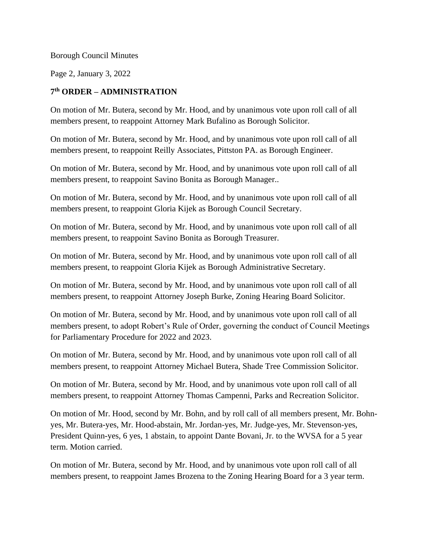Borough Council Minutes

Page 2, January 3, 2022

#### **7 th ORDER – ADMINISTRATION**

On motion of Mr. Butera, second by Mr. Hood, and by unanimous vote upon roll call of all members present, to reappoint Attorney Mark Bufalino as Borough Solicitor.

On motion of Mr. Butera, second by Mr. Hood, and by unanimous vote upon roll call of all members present, to reappoint Reilly Associates, Pittston PA. as Borough Engineer.

On motion of Mr. Butera, second by Mr. Hood, and by unanimous vote upon roll call of all members present, to reappoint Savino Bonita as Borough Manager..

On motion of Mr. Butera, second by Mr. Hood, and by unanimous vote upon roll call of all members present, to reappoint Gloria Kijek as Borough Council Secretary.

On motion of Mr. Butera, second by Mr. Hood, and by unanimous vote upon roll call of all members present, to reappoint Savino Bonita as Borough Treasurer.

On motion of Mr. Butera, second by Mr. Hood, and by unanimous vote upon roll call of all members present, to reappoint Gloria Kijek as Borough Administrative Secretary.

On motion of Mr. Butera, second by Mr. Hood, and by unanimous vote upon roll call of all members present, to reappoint Attorney Joseph Burke, Zoning Hearing Board Solicitor.

On motion of Mr. Butera, second by Mr. Hood, and by unanimous vote upon roll call of all members present, to adopt Robert's Rule of Order, governing the conduct of Council Meetings for Parliamentary Procedure for 2022 and 2023.

On motion of Mr. Butera, second by Mr. Hood, and by unanimous vote upon roll call of all members present, to reappoint Attorney Michael Butera, Shade Tree Commission Solicitor.

On motion of Mr. Butera, second by Mr. Hood, and by unanimous vote upon roll call of all members present, to reappoint Attorney Thomas Campenni, Parks and Recreation Solicitor.

On motion of Mr. Hood, second by Mr. Bohn, and by roll call of all members present, Mr. Bohnyes, Mr. Butera-yes, Mr. Hood-abstain, Mr. Jordan-yes, Mr. Judge-yes, Mr. Stevenson-yes, President Quinn-yes, 6 yes, 1 abstain, to appoint Dante Bovani, Jr. to the WVSA for a 5 year term. Motion carried.

On motion of Mr. Butera, second by Mr. Hood, and by unanimous vote upon roll call of all members present, to reappoint James Brozena to the Zoning Hearing Board for a 3 year term.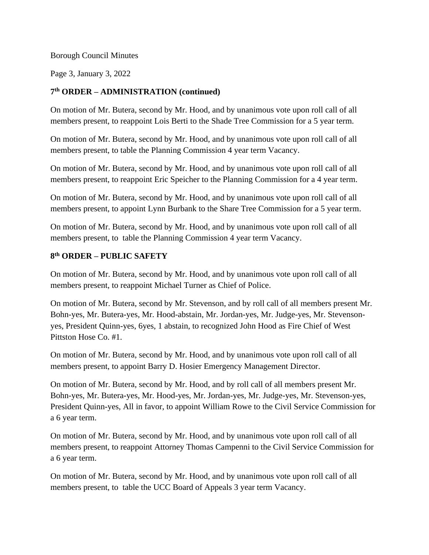#### Borough Council Minutes

Page 3, January 3, 2022

#### **7 th ORDER – ADMINISTRATION (continued)**

On motion of Mr. Butera, second by Mr. Hood, and by unanimous vote upon roll call of all members present, to reappoint Lois Berti to the Shade Tree Commission for a 5 year term.

On motion of Mr. Butera, second by Mr. Hood, and by unanimous vote upon roll call of all members present, to table the Planning Commission 4 year term Vacancy.

On motion of Mr. Butera, second by Mr. Hood, and by unanimous vote upon roll call of all members present, to reappoint Eric Speicher to the Planning Commission for a 4 year term.

On motion of Mr. Butera, second by Mr. Hood, and by unanimous vote upon roll call of all members present, to appoint Lynn Burbank to the Share Tree Commission for a 5 year term.

On motion of Mr. Butera, second by Mr. Hood, and by unanimous vote upon roll call of all members present, to table the Planning Commission 4 year term Vacancy.

### **8 th ORDER – PUBLIC SAFETY**

On motion of Mr. Butera, second by Mr. Hood, and by unanimous vote upon roll call of all members present, to reappoint Michael Turner as Chief of Police.

On motion of Mr. Butera, second by Mr. Stevenson, and by roll call of all members present Mr. Bohn-yes, Mr. Butera-yes, Mr. Hood-abstain, Mr. Jordan-yes, Mr. Judge-yes, Mr. Stevensonyes, President Quinn-yes, 6yes, 1 abstain, to recognized John Hood as Fire Chief of West Pittston Hose Co. #1.

On motion of Mr. Butera, second by Mr. Hood, and by unanimous vote upon roll call of all members present, to appoint Barry D. Hosier Emergency Management Director.

On motion of Mr. Butera, second by Mr. Hood, and by roll call of all members present Mr. Bohn-yes, Mr. Butera-yes, Mr. Hood-yes, Mr. Jordan-yes, Mr. Judge-yes, Mr. Stevenson-yes, President Quinn-yes, All in favor, to appoint William Rowe to the Civil Service Commission for a 6 year term.

On motion of Mr. Butera, second by Mr. Hood, and by unanimous vote upon roll call of all members present, to reappoint Attorney Thomas Campenni to the Civil Service Commission for a 6 year term.

On motion of Mr. Butera, second by Mr. Hood, and by unanimous vote upon roll call of all members present, to table the UCC Board of Appeals 3 year term Vacancy.